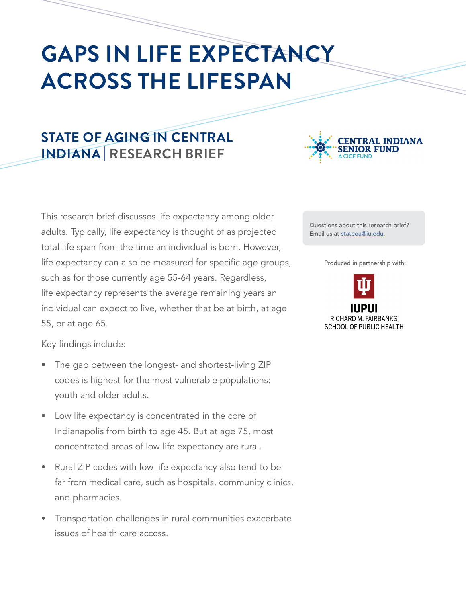# **GAPS IN LIFE EXPECTANCY ACROSS THE LIFESPAN**

## **STATE OF AGING IN CENTRAL INDIANA | RESEARCH BRIEF**

This research brief discusses life expectancy among older adults. Typically, life expectancy is thought of as projected total life span from the time an individual is born. However, life expectancy can also be measured for specific age groups, such as for those currently age 55-64 years. Regardless, life expectancy represents the average remaining years an individual can expect to live, whether that be at birth, at age 55, or at age 65.

Key findings include:

- The gap between the longest- and shortest-living ZIP codes is highest for the most vulnerable populations: youth and older adults.
- Low life expectancy is concentrated in the core of Indianapolis from birth to age 45. But at age 75, most concentrated areas of low life expectancy are rural.
- Rural ZIP codes with low life expectancy also tend to be far from medical care, such as hospitals, community clinics, and pharmacies.
- Transportation challenges in rural communities exacerbate issues of health care access.



Questions about this research brief? Email us at [stateoa@iu.edu](mailto:stateoa%40iu.edu?subject=Life%20Expectancy%20Research%20Brief).

Produced in partnership with:

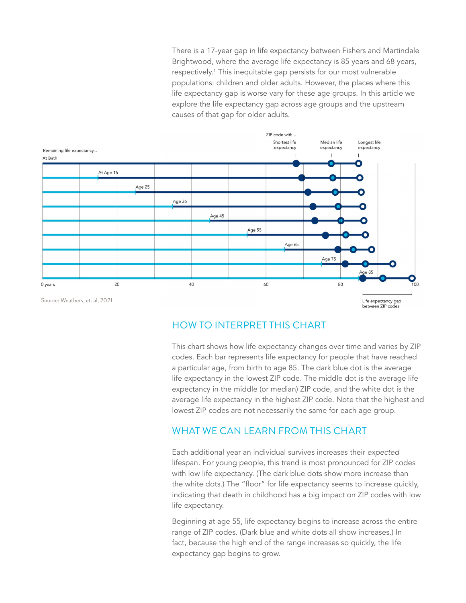There is a 17-year gap in life expectancy between Fishers and Martindale Brightwood, where the average life expectancy is 85 years and 68 years, respectively.1 This inequitable gap persists for our most vulnerable populations: children and older adults. However, the places where this life expectancy gap is worse vary for these age groups. In this article we explore the life expectancy gap across age groups and the upstream causes of that gap for older adults.



## HOW TO INTERPRET THIS CHART

This chart shows how life expectancy changes over time and varies by ZIP codes. Each bar represents life expectancy for people that have reached a particular age, from birth to age 85. The dark blue dot is the average life expectancy in the lowest ZIP code. The middle dot is the average life expectancy in the middle (or median) ZIP code, and the white dot is the average life expectancy in the highest ZIP code. Note that the highest and lowest ZIP codes are not necessarily the same for each age group.

## WHAT WE CAN LEARN FROM THIS CHART

Each additional year an individual survives increases their *expected* lifespan. For young people, this trend is most pronounced for ZIP codes with low life expectancy. (The dark blue dots show more increase than the white dots.) The "floor" for life expectancy seems to increase quickly, indicating that death in childhood has a big impact on ZIP codes with low life expectancy.

Beginning at age 55, life expectancy begins to increase across the entire range of ZIP codes. (Dark blue and white dots all show increases.) In fact, because the high end of the range increases so quickly, the life expectancy gap begins to grow.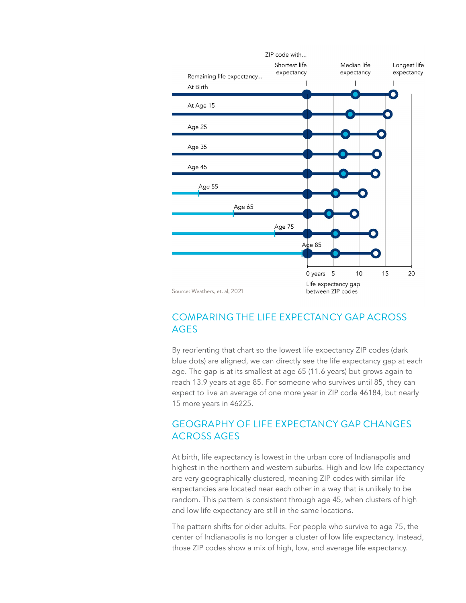

## COMPARING THE LIFE EXPECTANCY GAP ACROSS AGES

By reorienting that chart so the lowest life expectancy ZIP codes (dark blue dots) are aligned, we can directly see the life expectancy gap at each age. The gap is at its smallest at age 65 (11.6 years) but grows again to reach 13.9 years at age 85. For someone who survives until 85, they can expect to live an average of one more year in ZIP code 46184, but nearly 15 more years in 46225.

## GEOGRAPHY OF LIFE EXPECTANCY GAP CHANGES ACROSS AGES

At birth, life expectancy is lowest in the urban core of Indianapolis and highest in the northern and western suburbs. High and low life expectancy are very geographically clustered, meaning ZIP codes with similar life expectancies are located near each other in a way that is unlikely to be random. This pattern is consistent through age 45, when clusters of high and low life expectancy are still in the same locations.

The pattern shifts for older adults. For people who survive to age 75, the center of Indianapolis is no longer a cluster of low life expectancy. Instead, those ZIP codes show a mix of high, low, and average life expectancy.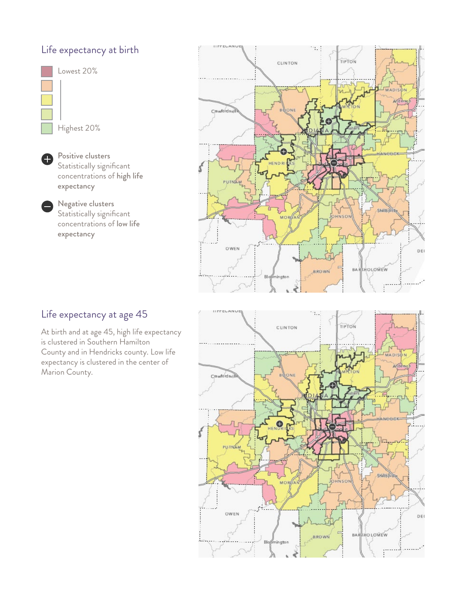## Life expectancy at birth



0

Positive clusters Statistically significant concentrations of high life expectancy

Negative clusters Statistically significant concentrations of low life expectancy



## Life expectancy at age 45

At birth and at age 45, high life expectancy is clustered in Southern Hamilton County and in Hendricks county. Low life expectancy is clustered in the center of Marion County.

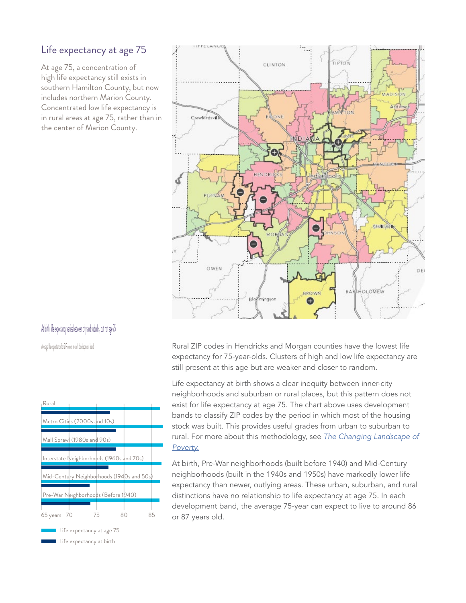## Life expectancy at age 75

At age 75, a concentration of high life expectancy still exists in southern Hamilton County, but now includes northern Marion County. Concentrated low life expectancy is in rural areas at age 75, rather than in the center of Marion County.

## At birth, life expectancy varies between city and suburbs, but not age 75

Average life expectancy for ZIP codes in each development band



■ Life expectancy at birth



Rural ZIP codes in Hendricks and Morgan counties have the lowest life expectancy for 75-year-olds. Clusters of high and low life expectancy are still present at this age but are weaker and closer to random.

Life expectancy at birth shows a clear inequity between inner-city neighborhoods and suburban or rural places, but this pattern does not exist for life expectancy at age 75. The chart above uses development bands to classify ZIP codes by the period in which most of the housing stock was built. This provides useful grades from urban to suburban to rural. For more about this methodology, see *[The Changing Landscape of](https://www.savi.org/feature_report/the-changing-landscape-of-poverty/)  [Poverty.](https://www.savi.org/feature_report/the-changing-landscape-of-poverty/)*

At birth, Pre-War neighborhoods (built before 1940) and Mid-Century neighborhoods (built in the 1940s and 1950s) have markedly lower life expectancy than newer, outlying areas. These urban, suburban, and rural distinctions have no relationship to life expectancy at age 75. In each development band, the average 75-year can expect to live to around 86 or 87 years old.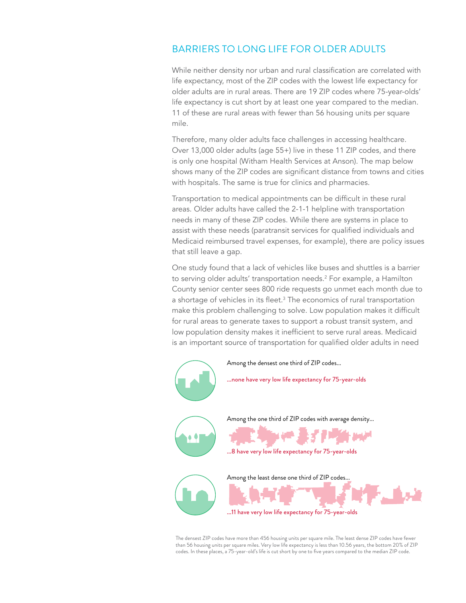## BARRIERS TO LONG LIFE FOR OLDER ADULTS

While neither density nor urban and rural classification are correlated with life expectancy, most of the ZIP codes with the lowest life expectancy for older adults are in rural areas. There are 19 ZIP codes where 75-year-olds' life expectancy is cut short by at least one year compared to the median. 11 of these are rural areas with fewer than 56 housing units per square mile.

Therefore, many older adults face challenges in accessing healthcare. Over 13,000 older adults (age 55+) live in these 11 ZIP codes, and there is only one hospital (Witham Health Services at Anson). The map below shows many of the ZIP codes are significant distance from towns and cities with hospitals. The same is true for clinics and pharmacies.

Transportation to medical appointments can be difficult in these rural areas. Older adults have called the 2-1-1 helpline with transportation needs in many of these ZIP codes. While there are systems in place to assist with these needs (paratransit services for qualified individuals and Medicaid reimbursed travel expenses, for example), there are policy issues that still leave a gap.

One study found that a lack of vehicles like buses and shuttles is a barrier to serving older adults' transportation needs.2 For example, a Hamilton County senior center sees 800 ride requests go unmet each month due to a shortage of vehicles in its fleet.<sup>3</sup> The economics of rural transportation make this problem challenging to solve. Low population makes it difficult for rural areas to generate taxes to support a robust transit system, and low population density makes it inefficient to serve rural areas. Medicaid is an important source of transportation for qualified older adults in need



The densest ZIP codes have more than 456 housing units per square mile. The least dense ZIP codes have fewer than 56 housing units per square miles. Very low life expectancy is less than 10.56 years, the bottom 20% of ZIP codes. In these places, a 75-year-old's life is cut short by one to five years compared to the median ZIP code.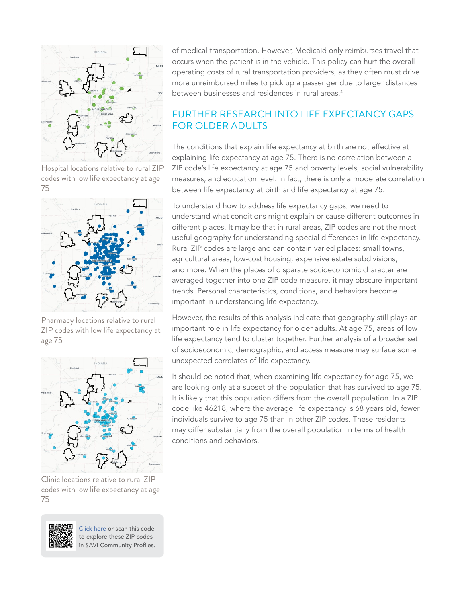

Hospital locations relative to rural ZIP codes with low life expectancy at age 75



Pharmacy locations relative to rural ZIP codes with low life expectancy at age 75



Clinic locations relative to rural ZIP codes with low life expectancy at age 75



[Click here](https://profiles.savi.org/sharabledashboard.html?boundaryId=4034143) or scan this code to explore these ZIP codes in SAVI Community Profiles. of medical transportation. However, Medicaid only reimburses travel that occurs when the patient is in the vehicle. This policy can hurt the overall operating costs of rural transportation providers, as they often must drive more unreimbursed miles to pick up a passenger due to larger distances between businesses and residences in rural areas.<sup>4</sup>

## FURTHER RESEARCH INTO LIFE EXPECTANCY GAPS FOR OLDER ADULTS

The conditions that explain life expectancy at birth are not effective at explaining life expectancy at age 75. There is no correlation between a ZIP code's life expectancy at age 75 and poverty levels, social vulnerability measures, and education level. In fact, there is only a moderate correlation between life expectancy at birth and life expectancy at age 75.

To understand how to address life expectancy gaps, we need to understand what conditions might explain or cause different outcomes in different places. It may be that in rural areas, ZIP codes are not the most useful geography for understanding special differences in life expectancy. Rural ZIP codes are large and can contain varied places: small towns, agricultural areas, low-cost housing, expensive estate subdivisions, and more. When the places of disparate socioeconomic character are averaged together into one ZIP code measure, it may obscure important trends. Personal characteristics, conditions, and behaviors become important in understanding life expectancy.

However, the results of this analysis indicate that geography still plays an important role in life expectancy for older adults. At age 75, areas of low life expectancy tend to cluster together. Further analysis of a broader set of socioeconomic, demographic, and access measure may surface some unexpected correlates of life expectancy.

It should be noted that, when examining life expectancy for age 75, we are looking only at a subset of the population that has survived to age 75. It is likely that this population differs from the overall population. In a ZIP code like 46218, where the average life expectancy is 68 years old, fewer individuals survive to age 75 than in other ZIP codes. These residents may differ substantially from the overall population in terms of health conditions and behaviors.